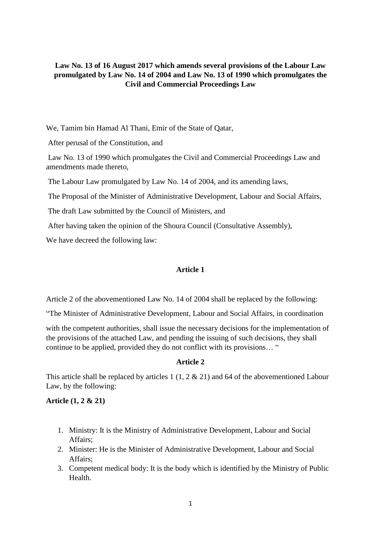# **Law No. 13 of 16 August 2017 which amends several provisions of the Labour Law promulgated by Law No. 14 of 2004 and Law No. 13 of 1990 which promulgates the Civil and Commercial Proceedings Law**

We, Tamim bin Hamad Al Thani, Emir of the State of Qatar,

After perusal of the Constitution, and

Law No. 13 of 1990 which promulgates the Civil and Commercial Proceedings Law and amendments made thereto,

The Labour Law promulgated by Law No. 14 of 2004, and its amending laws,

The Proposal of the Minister of Administrative Development, Labour and Social Affairs,

The draft Law submitted by the Council of Ministers, and

After having taken the opinion of the Shoura Council (Consultative Assembly),

We have decreed the following law:

# **Article 1**

Article 2 of the abovementioned Law No. 14 of 2004 shall be replaced by the following:

"The Minister of Administrative Development, Labour and Social Affairs, in coordination

with the competent authorities, shall issue the necessary decisions for the implementation of the provisions of the attached Law, and pending the issuing of such decisions, they shall continue to be applied, provided they do not conflict with its provisions… "

# **Article 2**

This article shall be replaced by articles 1 (1, 2  $\&$  21) and 64 of the abovementioned Labour Law, by the following:

# **Article (1, 2 & 21)**

- 1. Ministry: It is the Ministry of Administrative Development, Labour and Social Affairs;
- 2. Minister: He is the Minister of Administrative Development, Labour and Social Affairs;
- 3. Competent medical body: It is the body which is identified by the Ministry of Public Health.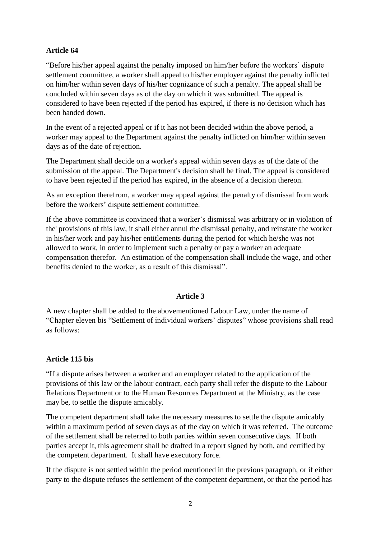# **Article 64**

"Before his/her appeal against the penalty imposed on him/her before the workers' dispute settlement committee, a worker shall appeal to his/her employer against the penalty inflicted on him/her within seven days of his/her cognizance of such a penalty. The appeal shall be concluded within seven days as of the day on which it was submitted. The appeal is considered to have been rejected if the period has expired, if there is no decision which has been handed down.

In the event of a rejected appeal or if it has not been decided within the above period, a worker may appeal to the Department against the penalty inflicted on him/her within seven days as of the date of rejection.

The Department shall decide on a worker's appeal within seven days as of the date of the submission of the appeal. The Department's decision shall be final. The appeal is considered to have been rejected if the period has expired, in the absence of a decision thereon.

As an exception therefrom, a worker may appeal against the penalty of dismissal from work before the workers' dispute settlement committee.

If the above committee is convinced that a worker's dismissal was arbitrary or in violation of the' provisions of this law, it shall either annul the dismissal penalty, and reinstate the worker in his/her work and pay his/her entitlements during the period for which he/she was not allowed to work, in order to implement such a penalty or pay a worker an adequate compensation therefor. An estimation of the compensation shall include the wage, and other benefits denied to the worker, as a result of this dismissal".

# **Article 3**

A new chapter shall be added to the abovementioned Labour Law, under the name of "Chapter eleven bis "Settlement of individual workers' disputes" whose provisions shall read as follows:

# **Article 115 bis**

"If a dispute arises between a worker and an employer related to the application of the provisions of this law or the labour contract, each party shall refer the dispute to the Labour Relations Department or to the Human Resources Department at the Ministry, as the case may be, to settle the dispute amicably.

The competent department shall take the necessary measures to settle the dispute amicably within a maximum period of seven days as of the day on which it was referred. The outcome of the settlement shall be referred to both parties within seven consecutive days. If both parties accept it, this agreement shall be drafted in a report signed by both, and certified by the competent department. It shall have executory force.

If the dispute is not settled within the period mentioned in the previous paragraph, or if either party to the dispute refuses the settlement of the competent department, or that the period has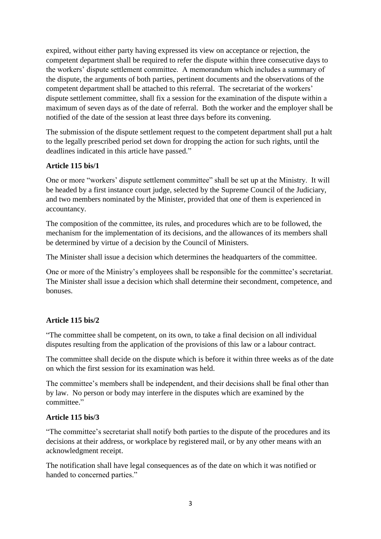expired, without either party having expressed its view on acceptance or rejection, the competent department shall be required to refer the dispute within three consecutive days to the workers' dispute settlement committee. A memorandum which includes a summary of the dispute, the arguments of both parties, pertinent documents and the observations of the competent department shall be attached to this referral. The secretariat of the workers' dispute settlement committee, shall fix a session for the examination of the dispute within a maximum of seven days as of the date of referral. Both the worker and the employer shall be notified of the date of the session at least three days before its convening.

The submission of the dispute settlement request to the competent department shall put a halt to the legally prescribed period set down for dropping the action for such rights, until the deadlines indicated in this article have passed."

# **Article 115 bis/1**

One or more "workers' dispute settlement committee" shall be set up at the Ministry. It will be headed by a first instance court judge, selected by the Supreme Council of the Judiciary, and two members nominated by the Minister, provided that one of them is experienced in accountancy.

The composition of the committee, its rules, and procedures which are to be followed, the mechanism for the implementation of its decisions, and the allowances of its members shall be determined by virtue of a decision by the Council of Ministers.

The Minister shall issue a decision which determines the headquarters of the committee.

One or more of the Ministry's employees shall be responsible for the committee's secretariat. The Minister shall issue a decision which shall determine their secondment, competence, and bonuses.

# **Article 115 bis/2**

"The committee shall be competent, on its own, to take a final decision on all individual disputes resulting from the application of the provisions of this law or a labour contract.

The committee shall decide on the dispute which is before it within three weeks as of the date on which the first session for its examination was held.

The committee's members shall be independent, and their decisions shall be final other than by law. No person or body may interfere in the disputes which are examined by the committee."

#### **Article 115 bis/3**

"The committee's secretariat shall notify both parties to the dispute of the procedures and its decisions at their address, or workplace by registered mail, or by any other means with an acknowledgment receipt.

The notification shall have legal consequences as of the date on which it was notified or handed to concerned parties."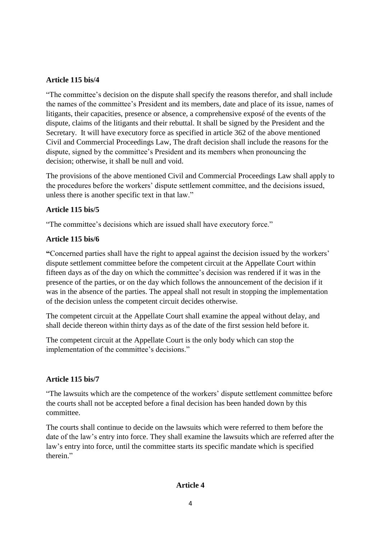# **Article 115 bis/4**

"The committee's decision on the dispute shall specify the reasons therefor, and shall include the names of the committee's President and its members, date and place of its issue, names of litigants, their capacities, presence or absence, a comprehensive exposé of the events of the dispute, claims of the litigants and their rebuttal. It shall be signed by the President and the Secretary. It will have executory force as specified in article 362 of the above mentioned Civil and Commercial Proceedings Law, The draft decision shall include the reasons for the dispute, signed by the committee's President and its members when pronouncing the decision; otherwise, it shall be null and void.

The provisions of the above mentioned Civil and Commercial Proceedings Law shall apply to the procedures before the workers' dispute settlement committee, and the decisions issued, unless there is another specific text in that law."

# **Article 115 bis/5**

"The committee's decisions which are issued shall have executory force."

# **Article 115 bis/6**

**"**Concerned parties shall have the right to appeal against the decision issued by the workers' dispute settlement committee before the competent circuit at the Appellate Court within fifteen days as of the day on which the committee's decision was rendered if it was in the presence of the parties, or on the day which follows the announcement of the decision if it was in the absence of the parties. The appeal shall not result in stopping the implementation of the decision unless the competent circuit decides otherwise.

The competent circuit at the Appellate Court shall examine the appeal without delay, and shall decide thereon within thirty days as of the date of the first session held before it.

The competent circuit at the Appellate Court is the only body which can stop the implementation of the committee's decisions."

# **Article 115 bis/7**

"The lawsuits which are the competence of the workers' dispute settlement committee before the courts shall not be accepted before a final decision has been handed down by this committee.

The courts shall continue to decide on the lawsuits which were referred to them before the date of the law's entry into force. They shall examine the lawsuits which are referred after the law's entry into force, until the committee starts its specific mandate which is specified therein."

# **Article 4**